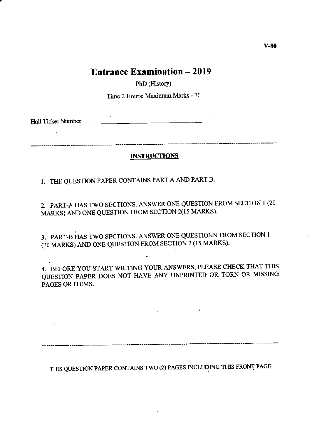# **Entrance Examination - 2019**

PhD (History)

Time 2 Hours: Maximum Marks - 70

Hall Ticket Number

#### **INSTRUCTIONS**

I. THE QUESTION PAPER CONTAINS PART A AND PART B.

2. PART-A HAS TWO SECTIONS. ANSWER ONE QUESTION FROM SECTION 1 (20 MARKS) AND ONE QUESTION FROM SECTION  $2(15$  MARKS).

3. PART-B llAS TWO SECTIONS. ANSWER ONE QUESTIONN FROM SECTION I (20 MARKS) AND ONE QUESTION FROM SECTION 2 (I5 MARKS).

4. BEFORE YOU START WRITING YOUR ANSWERS, PLEASE CHECK THAT THIS QUESTION PAPER DOES NOT HAVE ANY UNPRINTED OR TORN' OR MISSING PAGES OR ITEMS.

THIS QUESTION PAPER CONTAINS TWO (2) PAGES INCLUDING THIS FRONT PAGE.